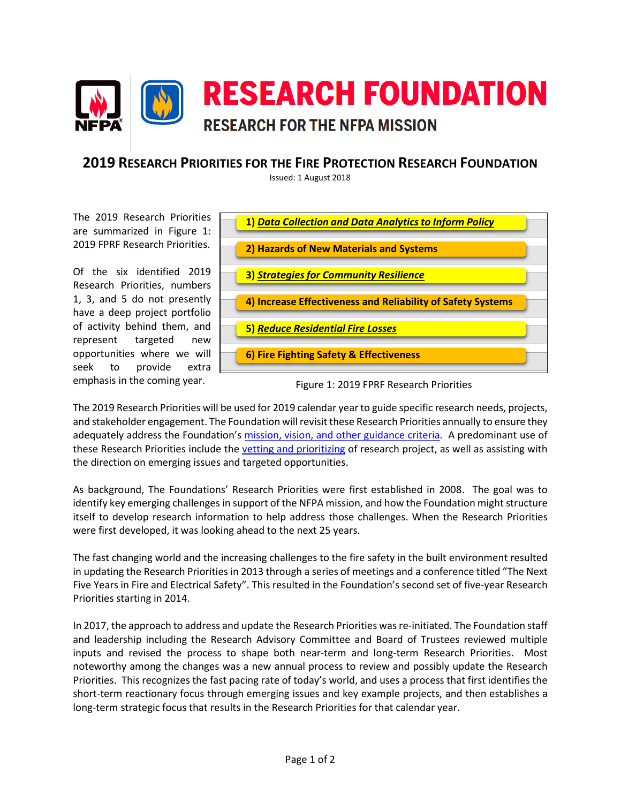

## **2019 RESEARCH PRIORITIES FOR THE FIRE PROTECTION RESEARCH FOUNDATION**

Issued: 1 August 2018

The 2019 Research Priorities are summarized in Figure 1: 2019 FPRF Research Priorities.

Of the six identified 2019 Research Priorities, numbers 1, 3, and 5 do not presently have a deep project portfolio of activity behind them, and represent targeted new opportunities where we will seek to provide extra emphasis in the coming year.



Figure 1: 2019 FPRF Research Priorities

The 2019 Research Priorities will be used for 2019 calendar year to guide specific research needs, projects, and stakeholder engagement. The Foundation will revisit these Research Priorities annually to ensure they adequately address the Foundation's [mission, vision, and other guidance criteria.](https://www.nfpa.org/News-and-Research/Resources/Fire-Protection-Research-Foundation/About-the-Foundation) A predominant use of these Research Priorities include th[e vetting and prioritizing](https://www.nfpa.org/News-and-Research/Resources/Fire-Protection-Research-Foundation/About-the-Foundation) of research project, as well as assisting with the direction on emerging issues and targeted opportunities.

As background, The Foundations' Research Priorities were first established in 2008. The goal was to identify key emerging challenges in support of the NFPA mission, and how the Foundation might structure itself to develop research information to help address those challenges. When the Research Priorities were first developed, it was looking ahead to the next 25 years.

The fast changing world and the increasing challenges to the fire safety in the built environment resulted in updating the Research Priorities in 2013 through a series of meetings and a conference titled "The Next Five Years in Fire and Electrical Safety". This resulted in the Foundation's second set of five-year Research Priorities starting in 2014.

In 2017, the approach to address and update the Research Priorities was re-initiated. The Foundation staff and leadership including the Research Advisory Committee and Board of Trustees reviewed multiple inputs and revised the process to shape both near-term and long-term Research Priorities. Most noteworthy among the changes was a new annual process to review and possibly update the Research Priorities. This recognizes the fast pacing rate of today's world, and uses a process that first identifies the short-term reactionary focus through emerging issues and key example projects, and then establishes a long-term strategic focus that results in the Research Priorities for that calendar year.